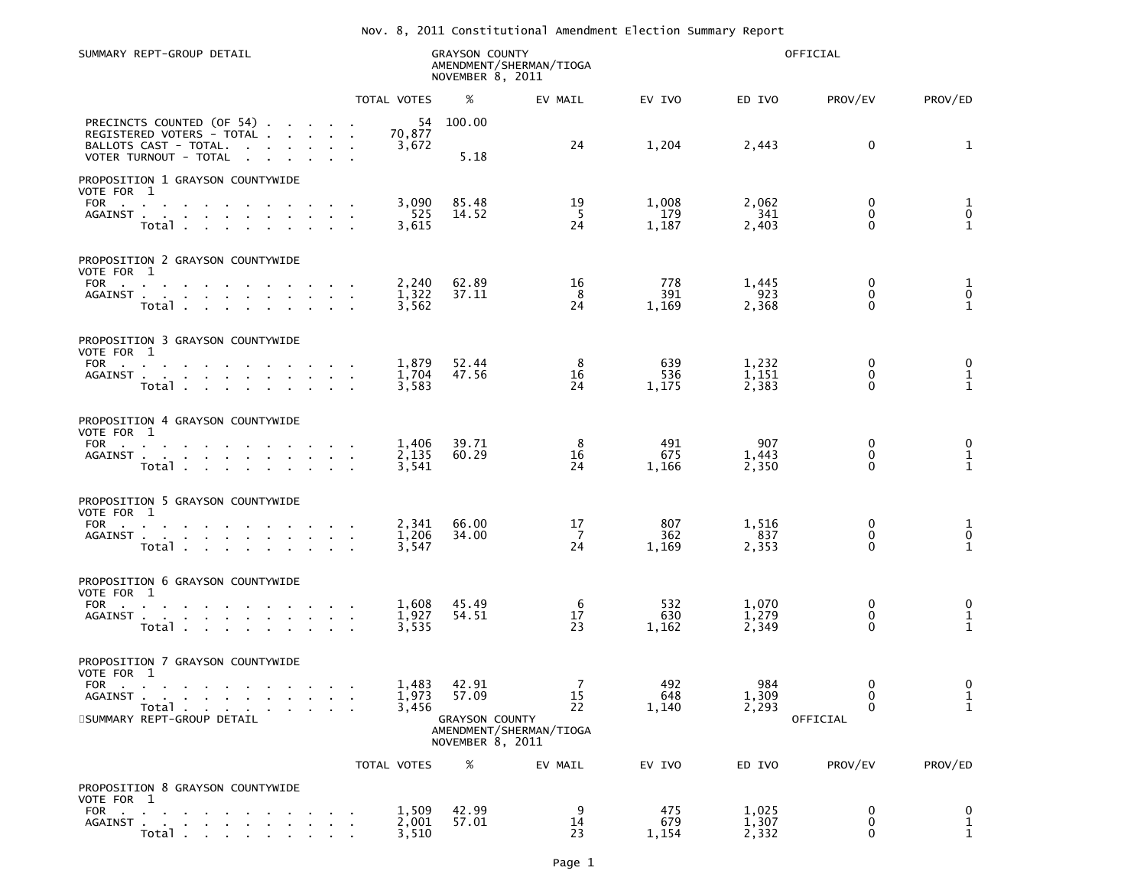## Nov. 8, 2011 Constitutional Amendment Election Summary Report

| SUMMARY REPT-GROUP DETAIL                                                                                                                                                                                                                                                      |                         | <b>GRAYSON COUNTY</b><br>NOVEMBER 8, 2011                   | AMENDMENT/SHERMAN/TIOGA                               | OFFICIAL              |                         |                                          |                                   |
|--------------------------------------------------------------------------------------------------------------------------------------------------------------------------------------------------------------------------------------------------------------------------------|-------------------------|-------------------------------------------------------------|-------------------------------------------------------|-----------------------|-------------------------|------------------------------------------|-----------------------------------|
|                                                                                                                                                                                                                                                                                | TOTAL VOTES             | %                                                           | EV MAIL                                               | EV IVO                | ED IVO                  | PROV/EV                                  | PROV/ED                           |
| PRECINCTS COUNTED (OF 54).<br>the company of the company of<br>REGISTERED VOTERS - TOTAL .<br><b>Service</b> State<br>BALLOTS CAST - TOTAL.<br>$\sim$<br>$\mathbf{z} = \mathbf{z} + \mathbf{z}$<br>VOTER TURNOUT - TOTAL<br>$\sim 10^{-10}$ km $^{-1}$<br>$\sim 100$<br>$\sim$ | 54<br>70,877<br>3,672   | 100.00<br>5.18                                              | 24                                                    | 1,204                 | 2,443                   | 0                                        | 1                                 |
| PROPOSITION 1 GRAYSON COUNTYWIDE<br>VOTE FOR 1<br><b>FOR</b><br><b>Contractor</b><br>$\sim$<br>AGAINST<br>Total<br><b>Contract Contract</b><br>$\sim$                                                                                                                          | 3,090<br>525<br>3,615   | 85.48<br>14.52                                              | 19<br>-5<br>24                                        | 1,008<br>179<br>1,187 | 2,062<br>341<br>2,403   | 0<br>$\mathbf 0$<br>$\mathbf{0}$         | $\frac{1}{0}$<br>$\mathbf{1}$     |
| PROPOSITION 2 GRAYSON COUNTYWIDE<br>VOTE FOR 1<br>FOR<br><b>Contract Contract</b><br><b>Contract Contract Street</b><br>AGAINST<br>Total                                                                                                                                       | 2,240<br>1,322<br>3,562 | 62.89<br>37.11                                              | 16<br>8<br>24                                         | 778<br>391<br>1,169   | 1,445<br>923<br>2,368   | 0<br>0<br>$\mathbf{0}$                   | $\frac{1}{0}$<br>$\mathbf{1}$     |
| PROPOSITION 3 GRAYSON COUNTYWIDE<br>VOTE FOR 1<br>FOR<br>$\sim 100$<br>AGAINST<br>Total                                                                                                                                                                                        | 1,879<br>1.704<br>3,583 | 52.44<br>47.56                                              | 8<br>16<br>24                                         | 639<br>536<br>1,175   | 1,232<br>1,151<br>2,383 | 0<br>0<br>0                              | 0<br>$\mathbf 1$<br>$\mathbf 1$   |
| PROPOSITION 4 GRAYSON COUNTYWIDE<br>VOTE FOR 1<br>FOR<br><b>Contract Contract</b><br><b>Contract Contract</b><br>AGAINST .<br>the contract of the contract of<br><b>Contract</b><br>Total .<br>$\sim 10^{-1}$                                                                  | 1,406<br>2,135<br>3,541 | 39.71<br>60.29                                              | 8<br>16<br>24                                         | 491<br>675<br>1,166   | 907<br>1,443<br>2,350   | 0<br>$\mathbf 0$<br>$\mathbf{0}$         | $\boldsymbol{0}$<br>$\frac{1}{1}$ |
| PROPOSITION 5 GRAYSON COUNTYWIDE<br>VOTE FOR 1<br><b>FOR</b><br>the control of the control of<br>AGAINST<br>$\sim 10^{-11}$ km $^{-1}$<br>Total                                                                                                                                | 2,341<br>1,206<br>3,547 | 66.00<br>34.00                                              | 17<br>7<br>24                                         | 807<br>362<br>1,169   | 1,516<br>837<br>2,353   | 0<br>0<br>0                              | $\frac{1}{0}$<br>$\mathbf{1}$     |
| PROPOSITION 6 GRAYSON COUNTYWIDE<br>VOTE FOR 1<br>FOR<br>$\sim$<br><b>Contract Contract</b><br>$\mathbf{r}$<br>AGAINST<br>Total<br>the contract of the contract of                                                                                                             | 1,608<br>1,927<br>3,535 | 45.49<br>54.51                                              | 6<br>17<br>23                                         | 532<br>630<br>1,162   | 1,070<br>1,279<br>2,349 | 0<br>0<br>$\mathbf{0}$                   | 0<br>$\mathbf 1$<br>$\mathbf{1}$  |
| PROPOSITION 7 GRAYSON COUNTYWIDE<br>VOTE FOR 1<br>FOR<br>AGAINST<br><b>Service</b><br>Total .<br><b>Contract Contract Contract</b><br>$\sim 100$<br>8SUMMARY REPT-GROUP DETAIL                                                                                                 | 1,483<br>1,973<br>3,456 | 42.91<br>57.09<br><b>GRAYSON COUNTY</b><br>NOVEMBER 8, 2011 | $\overline{7}$<br>15<br>22<br>AMENDMENT/SHERMAN/TIOGA | 492<br>648<br>1,140   | 984<br>1,309<br>2,293   | 0<br>$\bf{0}$<br>$\mathbf 0$<br>OFFICIAL | 0<br>$\frac{1}{1}$                |
|                                                                                                                                                                                                                                                                                | TOTAL VOTES             | %                                                           | EV MAIL                                               | EV IVO                | ED IVO                  | PROV/EV                                  | PROV/ED                           |
| PROPOSITION 8 GRAYSON COUNTYWIDE<br>VOTE FOR 1<br><b>FOR</b><br><b>Contractor</b><br><b>Service</b><br>AGAINST .<br><b>All All And</b><br>Total                                                                                                                                | 1,509<br>2,001<br>3,510 | 42.99<br>57.01                                              | 9<br>14<br>23                                         | 475<br>679<br>1,154   | 1,025<br>1,307<br>2,332 | 0<br>0<br>0                              | 0<br>$\frac{1}{1}$                |